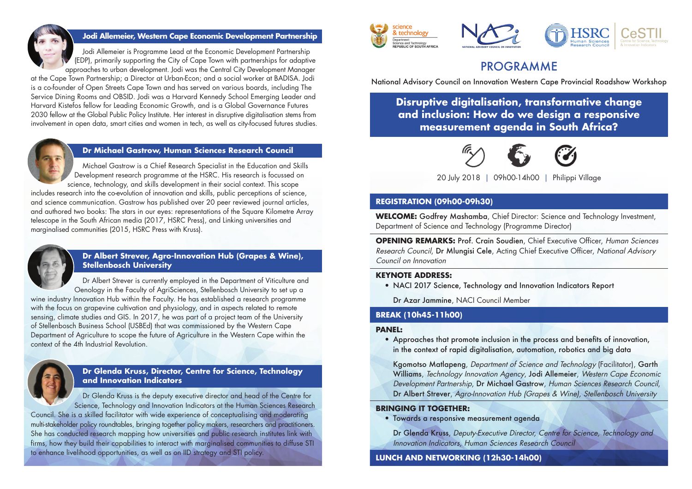

# **Jodi Allemeier, Western Cape Economic Development Partnership**

 Jodi Allemeier is Programme Lead at the Economic Development Partnership (EDP), primarily supporting the City of Cape Town with partnerships for adaptive approaches to urban development. Jodi was the Central City Development Manager

at the Cape Town Partnership; a Director at Urban-Econ; and a social worker at BADISA. Jodi is a co-founder of Open Streets Cape Town and has served on various boards, including The Service Dining Rooms and OBSID. Jodi was a Harvard Kennedy School Emerging Leader and Harvard Kistefos fellow for Leading Economic Growth, and is a Global Governance Futures 2030 fellow at the Global Public Policy Institute. Her interest in disruptive digitalisation stems from involvement in open data, smart cities and women in tech, as well as city-focused futures studies.



## **Dr Michael Gastrow, Human Sciences Research Council**

 Michael Gastrow is a Chief Research Specialist in the Education and Skills Development research programme at the HSRC. His research is focussed on science, technology, and skills development in their social context. This scope

includes research into the co-evolution of innovation and skills, public perceptions of science, and science communication. Gastrow has published over 20 peer reviewed journal articles, and authored two books: The stars in our eyes: representations of the Square Kilometre Array telescope in the South African media (2017, HSRC Press), and Linking universities and marginalised communities (2015, HSRC Press with Kruss).



# **Dr Albert Strever, Agro-Innovation Hub (Grapes & Wine), Stellenbosch University**

 Dr Albert Strever is currently employed in the Department of Viticulture and Oenology in the Faculty of AgriSciences, Stellenbosch University to set up a wine industry Innovation Hub within the Faculty. He has established a research programme

with the focus on grapevine cultivation and physiology, and in aspects related to remote sensing, climate studies and GIS. In 2017, he was part of a project team of the University of Stellenbosch Business School (USBEd) that was commissioned by the Western Cape Department of Agriculture to scope the future of Agriculture in the Western Cape within the context of the 4th Industrial Revolution.



# **Dr Glenda Kruss, Director, Centre for Science, Technology and Innovation Indicators**

 Dr Glenda Kruss is the deputy executive director and head of the Centre for Science, Technology and Innovation Indicators at the Human Sciences Research

Council. She is a skilled facilitator with wide experience of conceptualising and moderating multi-stakeholder policy roundtables, bringing together policy makers, researchers and practitioners. She has conducted research mapping how universities and public research institutes link with firms, how they build their capabilities to interact with marginalised communities to diffuse STI to enhance livelihood opportunities, as well as on IID strategy and STI policy.



# PROGRAMME

National Advisory Council on Innovation Western Cape Provincial Roadshow Workshop

**Disruptive digitalisation, transformative change and inclusion: How do we design a responsive measurement agenda in South Africa?**



20 July 2018 | 09h00-14h00 | Philippi Village

## **REGISTRATION (09h00-09h30)**

**WELCOME:** Godfrey Mashamba, Chief Director: Science and Technology Investment, Department of Science and Technology (Programme Director)

**OPENING REMARKS:** Prof. Crain Soudien, Chief Executive Officer, Human Sciences Research Council, Dr Mlungisi Cele, Acting Chief Executive Officer, National Advisory Council on Innovation

### **KEYNOTE ADDRESS:**

• NACI 2017 Science, Technology and Innovation Indicators Report

Dr Azar Jammine, NACI Council Member

# **BREAK (10h45-11h00)**

#### **PANEL:**

• Approaches that promote inclusion in the process and benefits of innovation, in the context of rapid digitalisation, automation, robotics and big data

Kgomotso Matlapeng, Department of Science and Technology (Facilitator), Garth Williams, Technology Innovation Agency, Jodi Allemeier, Western Cape Economic Development Partnership, Dr Michael Gastrow, Human Sciences Research Council, Dr Albert Strever, Agro-Innovation Hub (Grapes & Wine), Stellenbosch University

#### **BRINGING IT TOGETHER:**

• Towards a responsive measurement agenda

Dr Glenda Kruss, Deputy-Executive Director, Centre for Science, Technology and Innovation Indicators, Human Sciences Research Council

# **LUNCH AND NETWORKING (12h30-14h00)**